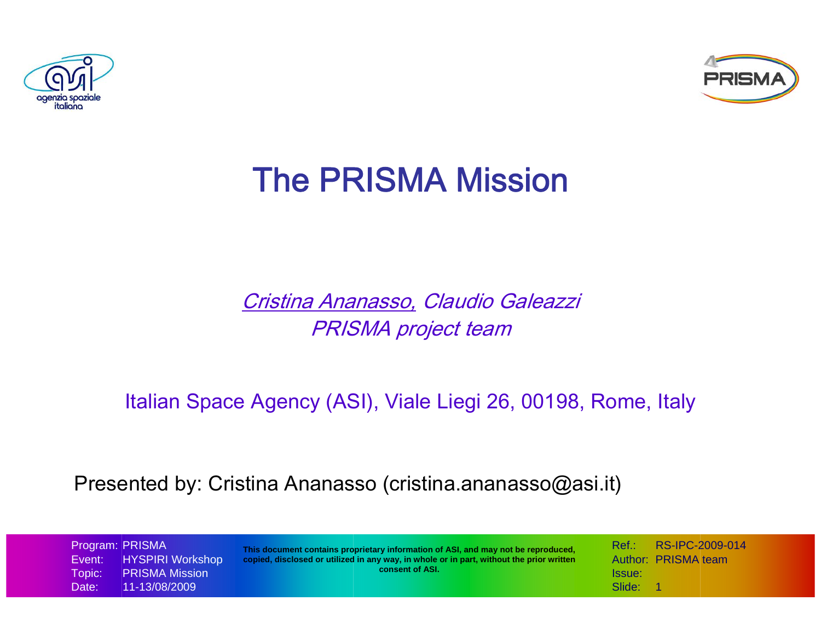



## The PRISMA Mission

Cristina Ananasso, Claudio Galeazzi PRISMA project team

Italian Space Agency (ASI), Viale Liegi 26, 00198, Rome, Italy

Presented by: Cristina Ananasso (cristina.ananasso@asi.it)

Program: PRISMA Event: HYSPIRI Workshop Topic: PRISMA Mission Date: 11-13/08/2009

**This document contains proprietary information of ASI, and may not be reproduced, copied, disclosed or utilized in any way, in whole or in part, without the prior written consent of ASI.**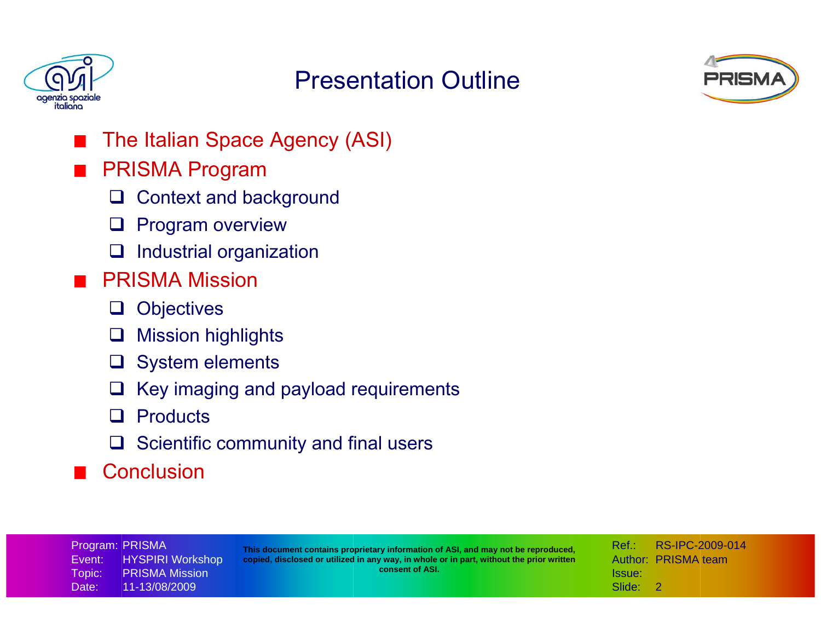

## Presentation Outline



- The Italian Space Agency (ASI)
- PRISMA Program
	- $\Box$ Context and background
	- ⊔ Program overview
	- ⊔ Industrial organization
- PRISMA Mission
	- u **Objectives**
	- ப Mission highlights
	- u System elements
	- ப Key imaging and payload requirements
	- $\Box$ **Products**
	- $\sqcup$ Scientific community and final users
- **Conclusion**

Program: PRISMA Event: HYSPIRI Workshop Topic: PRISMA Mission Date: 11-13/08/2009

**This document contains proprietary information of ASI, and may not be reproduced, copied, disclosed or utilized in any way, in whole or in part, without the prior written consent of ASI.**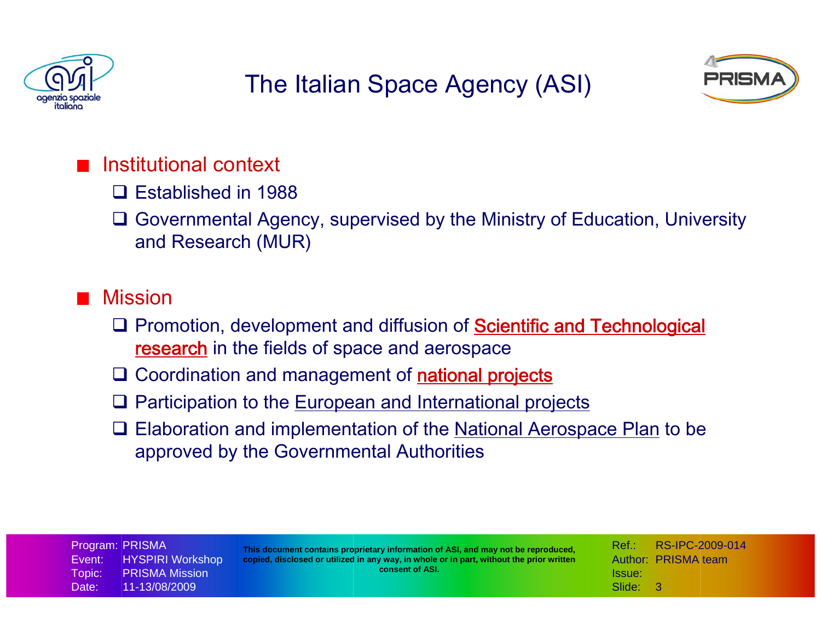

## The Italian Space Agency (ASI)



### Institutional context

- □ Established in 1988
- □ Governmental Agency, supervised by the Ministry of Education, University and Research (MUR)

### Mission

- **Q** Promotion, development and diffusion of **Scientific and Technological research** in the fields of space and aerospace
- □ Coordination and management of national projects
- **Q** Participation to the **European and International projects**
- **□ Elaboration and implementation of the National Aerospace Plan to be** approved by the Governmental Authorities

Program: PRISMA Event: HYSPIRI Workshop Topic: PRISMA Mission Date: 11-13/08/2009

**This document contains proprietary information of ASI, and may not be reproduced, copied, disclosed or utilized in any way, in whole or in part, without the prior written consent of ASI.**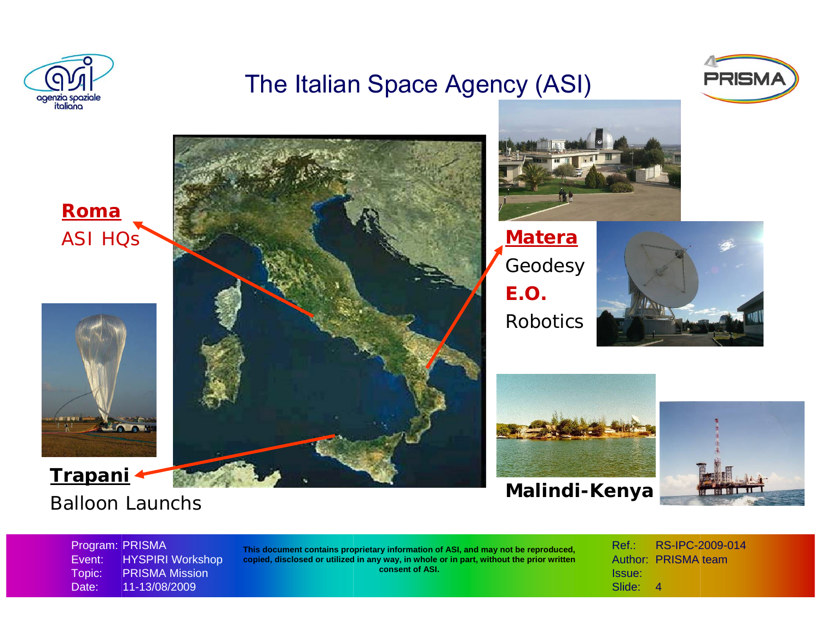

### Balloon Launchs

**Malindi-Kenya**



Program: PRISMA Event: HYSPIRI Workshop Topic: PRISMA Mission Date: 11-13/08/2009

**This document contains proprietary information of ASI, and may not be reproduced, copied, disclosed or utilized in any way, in whole or in part, without the prior written consent of ASI.**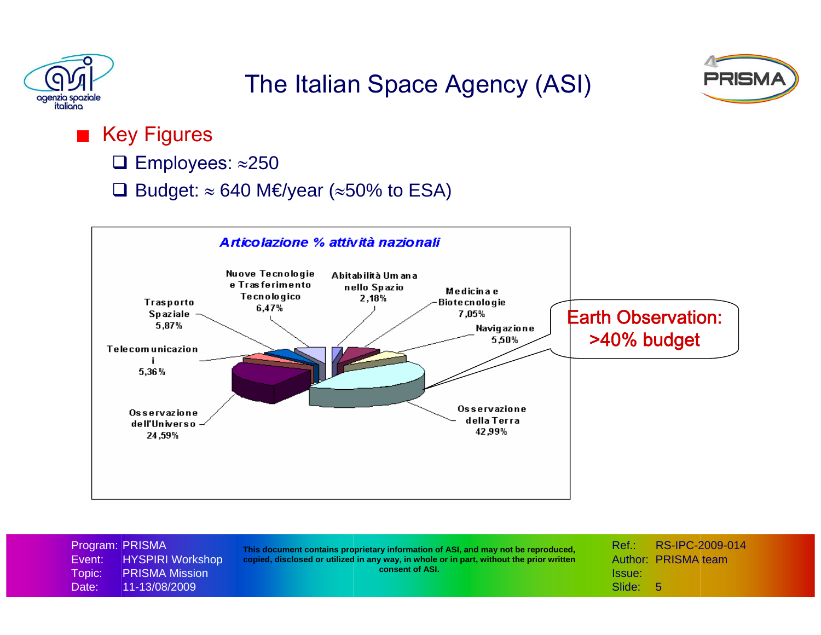

## The Italian Space Agency (ASI)



**Key Figures** 

- $\Box$  Employees:  $\approx$ 250
- Budget:  $\approx$  640 M€/year ( $\approx$ 50% to ESA)



| Topic:  | Program: PRISMA<br>Event: HYSPIRI Workshop<br><b>PRISMA Mission</b> | This document contains proprietary information of ASI, and may not be reproduced,<br>copied, disclosed or utilized in any way, in whole or in part, without the prior written<br>consent of ASI. | Ref∴<br><b>Issue:</b> | RS-IPC-2009-014<br>Author: PRISMA team |
|---------|---------------------------------------------------------------------|--------------------------------------------------------------------------------------------------------------------------------------------------------------------------------------------------|-----------------------|----------------------------------------|
| Date: ˈ | 11-13/08/2009                                                       |                                                                                                                                                                                                  | Slide: 5              |                                        |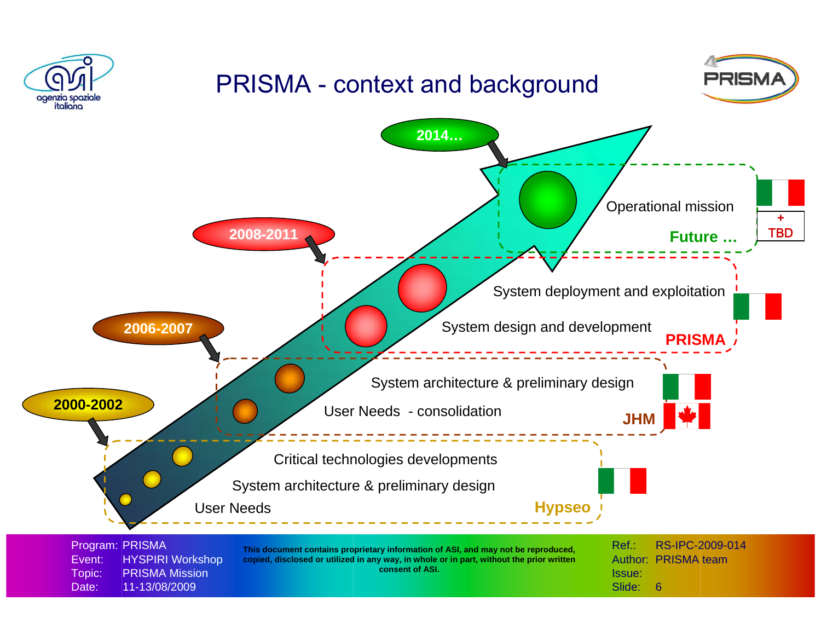## PRISMA - context and background







Program: PRISMA Event: HYSPIRI Workshop Topic: PRISMA Mission Date: 11-13/08/2009

**This document contains proprietary information of ASI, and may not be reproduced, copied, disclosed or utilized in any way, in whole or in part, without the prior written consent of ASI.**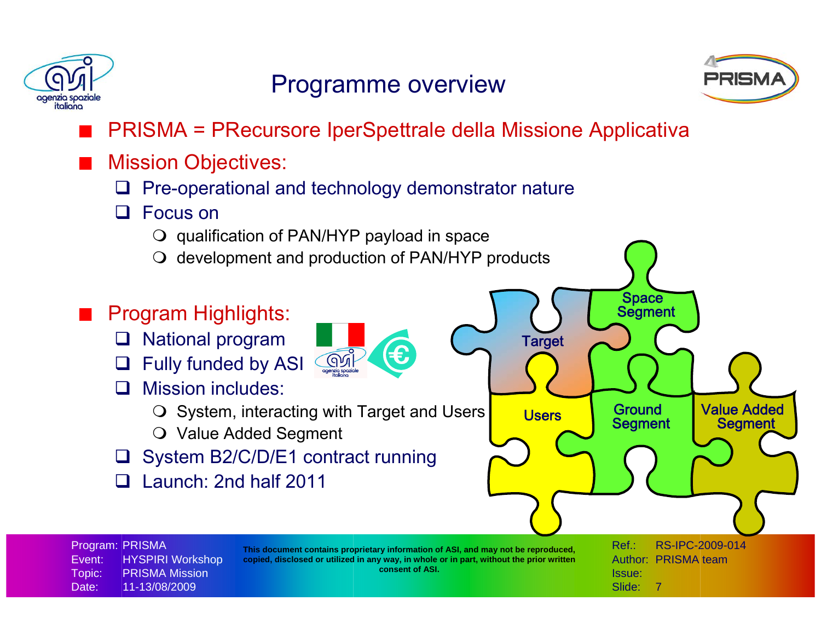

## Programme overview



- PRISMA = PRecursore IperSpettrale della Missione Applicativa
- Mission Objectives:
	- $\Box$ Pre-operational and technology demonstrator nature
	- □ Focus on
		- $\bigcirc$  qualification of PAN/HYP payload in space
		- $\bigcirc$  development and production of PAN/HYP products

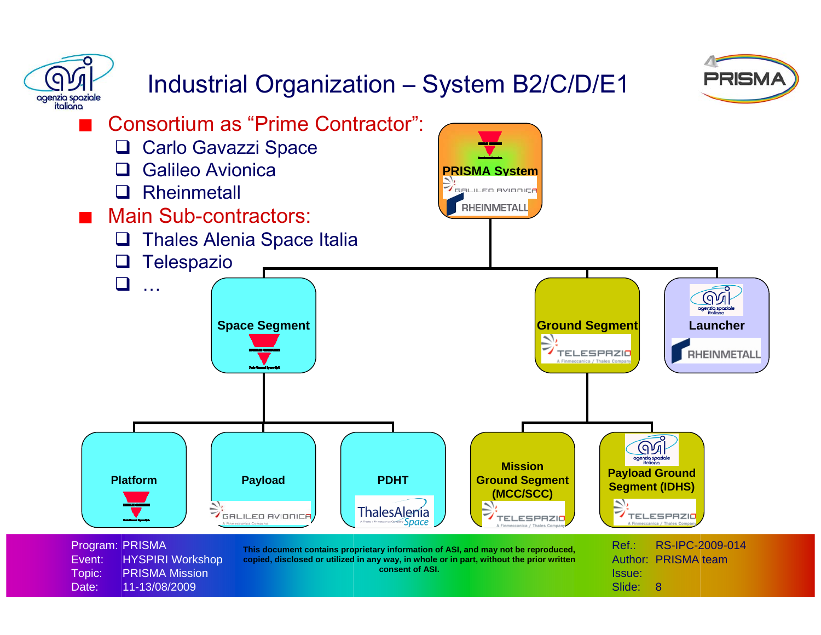

Date: 11-13/08/2009

## Industrial Organization – System B2/C/D/E1



Slide: 8

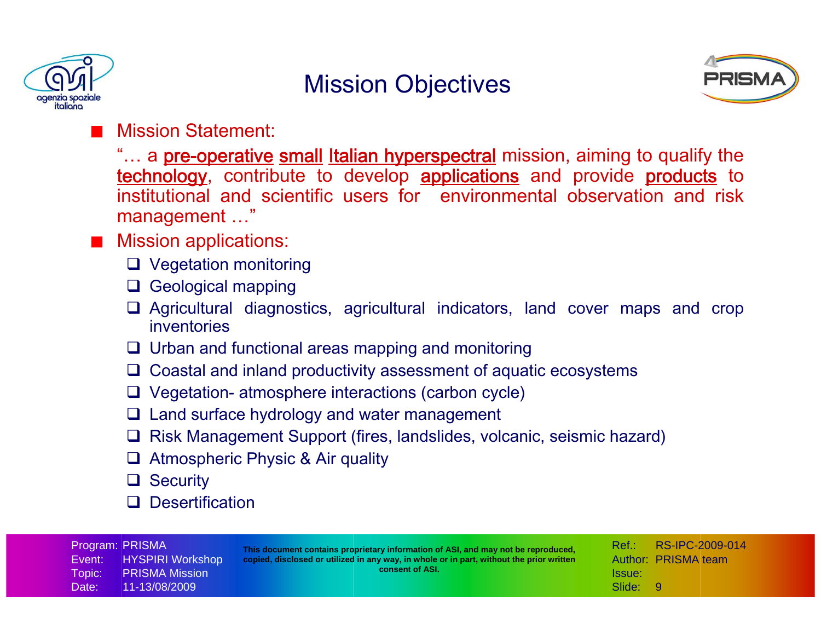

## Mission Objectives



#### Mission Statement:

"… a <u>pre-operative</u> small Italian hyperspectral mission, aiming to qualify the institutional and scientific users for environmental observation and risk technology, contribute to develop applications and provide products to management …"

### Mission applications:

- **□** Vegetation monitoring
- **Q** Geological mapping
- Agricultural diagnostics, agricultural indicators, land cover maps and crop inventories
- $\Box$  Urban and functional areas mapping and monitoring
- $\Box$  Coastal and inland productivity assessment of aquatic ecosystems
- □ Vegetation- atmosphere interactions (carbon cycle)
- $\Box$  Land surface hydrology and water management
- □ Risk Management Support (fires, landslides, volcanic, seismic hazard)
- **□** Atmospheric Physic & Air quality
- **□** Security
- **Q** Desertification

Program: PRISMA Event: HYSPIRI Workshop Topic: PRISMA Mission Date: 11-13/08/2009

**This document contains proprietary information of ASI, and may not be reproduced, copied, disclosed or utilized in any way, in whole or in part, without the prior written consent of ASI.**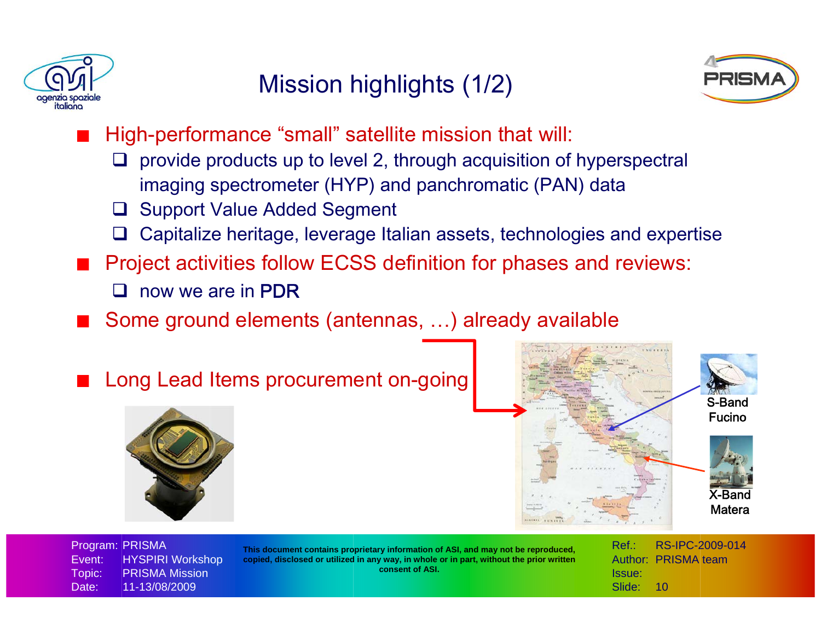

## Mission highlights (1/2)



- High-performance "small" satellite mission that will:
	- $\Box$  provide products up to level 2, through acquisition of hyperspectral imaging spectrometer (HYP) and panchromatic (PAN) data
	- u Support Value Added Segment
	- $\Box$ Capitalize heritage, leverage Italian assets, technologies and expertise
- **Project activities follow ECSS definition for phases and reviews:** 
	- **Q** now we are in PDR
- Some ground elements (antennas, …) already available
- Long Lead Items procurement on-going







**This document contains proprietary information of ASI, and may not be reproduced, copied, disclosed or utilized in any way, in whole or in part, without the prior written consent of ASI.**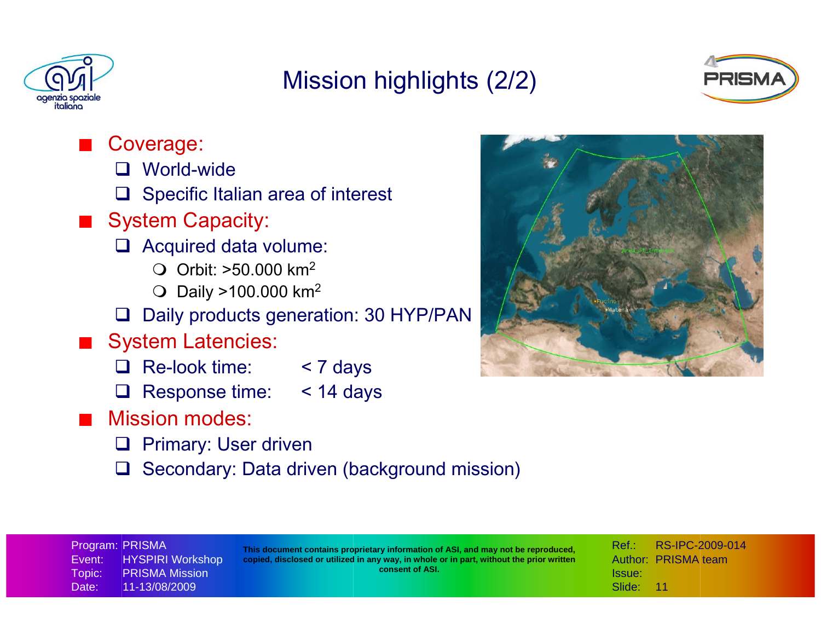

## Mission highlights (2/2)



- Coverage:
	- □ World-wide
	- $\Box$  Specific Italian area of interest
- System Capacity:
	- □ Acquired data volume:
		- $\bigcirc$  Orbit: >50.000 km<sup>2</sup>
		- $\bigcirc$  Daily >100.000 km<sup>2</sup>
	- □ Daily products generation: 30 HYP/PAN
- System Latencies:
	- □ Re-look time: < 7 days
	- □ Response time: < 14 days
- Mission modes:
	- **Q** Primary: User driven
	- $\Box$ Secondary: Data driven (background mission)



Program: PRISMA Event: HYSPIRI Workshop Topic: PRISMA Mission Date: 11-13/08/2009

**This document contains proprietary information of ASI, and may not be reproduced, copied, disclosed or utilized in any way, in whole or in part, without the prior written consent of ASI.**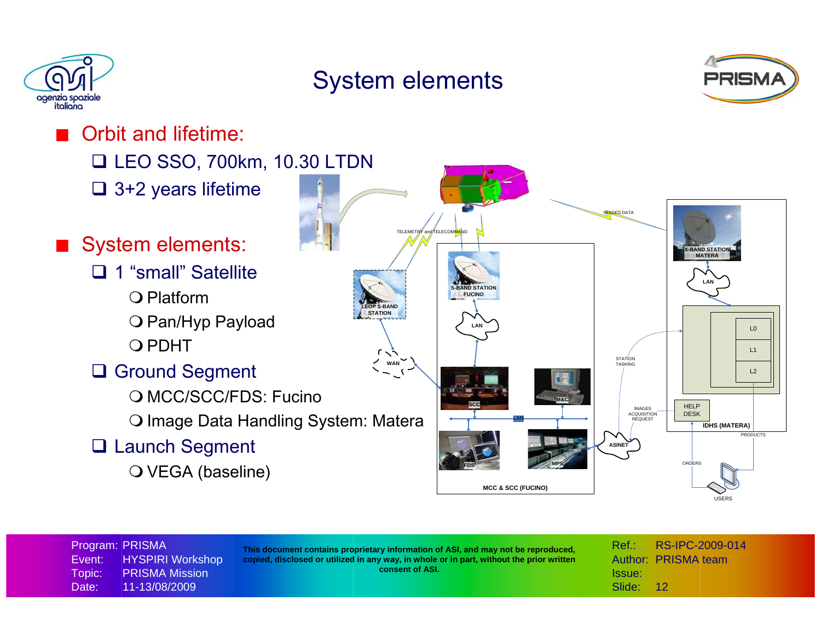

## System elements





Program: PRISMA Event: HYSPIRI Workshop Topic: PRISMA Mission Date: 11-13/08/2009

**This document contains proprietary information of ASI, and may not be reproduced, copied, disclosed or utilized in any way, in whole or in part, without the prior written consent of ASI.**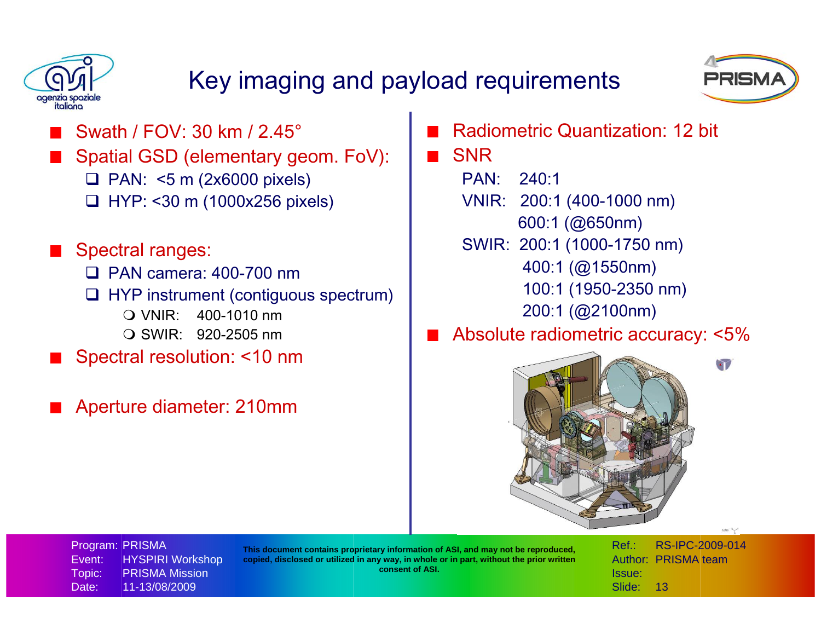

## Key imaging and payload requirements



Swath / FOV: 30 km / 2.45°

Spatial GSD (elementary geom. FoV): PAN: <5 m (2x6000 pixels) HYP: <30 m (1000x256 pixels)

Spectral ranges: PAN camera: 400-700 nm □ HYP instrument (contiguous spectrum) VNIR: 400-1010 nm SWIR: 920-2505 nm Spectral resolution: <10 nm

Aperture diameter: 210mm

Radiometric Quantization: 12 bit a a s

### SNR

- PAN: 240:1
- VNIR: 200:1 (400-1000 nm) 600:1 (@650nm)
- SWIR: 200:1 (1000-1750 nm) 400:1 (@1550nm) 100:1 (1950-2350 nm)
	- 200:1 (@2100nm)
- Absolute radiometric accuracy: <5%



Program: PRISMA Event: HYSPIRI Workshop Topic: PRISMA Mission Date: 11-13/08/2009

**This document contains proprietary information of ASI, and may not be reproduced, copied, disclosed or utilized in any way, in whole or in part, without the prior written consent of ASI.**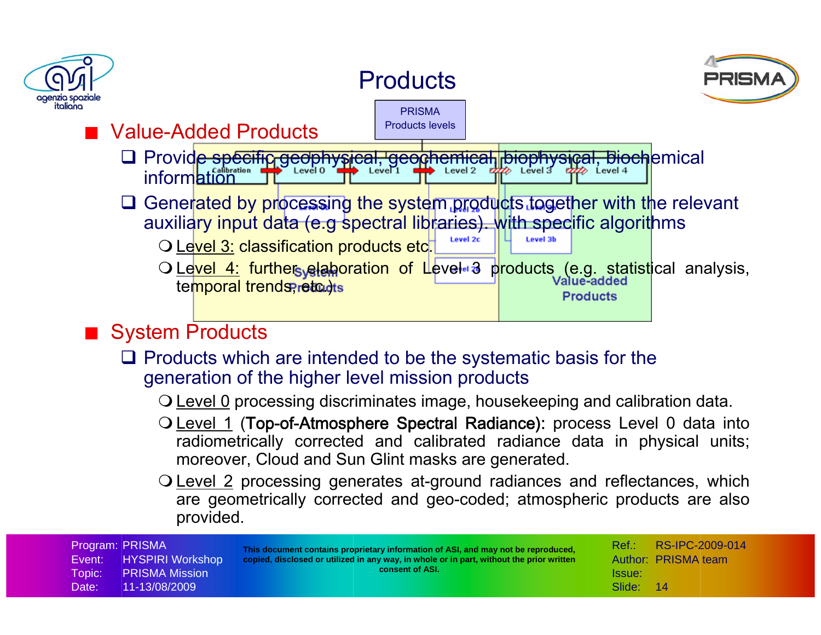





## Value-Added Products

□ Provid<del>e specific geophysical, geochemical, biophysical, bioch</del>emical inform**a**tion

PRISMAProducts levels

- $\Box$  Generated by processing the system products together with the relevant auxiliary input data (e.g spectral libraries). with specific algorithms
	- O <u>Level 3:</u> classification products etc.
	- O Level 4: further elaboration of Level 3 products (e.g. statistical analysis, temporal trends, retails **Products**

**Level 2c** 

Level 3b

## System Products

 $\Box$  Products which are intended to be the systematic basis for the generation of the higher level mission products

O Level 0 processing discriminates image, housekeeping and calibration data.

- O Level 1 (Top-of-Atmosphere Spectral Radiance): process Level 0 data into moreover, Cloud and Sun Glint masks are generated. radiometrically corrected and calibrated radiance data in physical units;
- Q Level 2 processing generates at-ground radiances and reflectances, which are geometrically corrected and geo-coded; atmospheric products are also provided.

| Program: PRISMA | Event: HYSPIRI Workshop<br>Topic: PRISMA Mission | This document contains proprietary information of ASI, and may not be reproduced,<br>copied, disclosed or utilized in any way, in whole or in part, without the prior written<br>consent of ASI. | Ref.: I<br><b>Issue:</b> | RS-IPC-2009-014<br>Author: PRISMA team |
|-----------------|--------------------------------------------------|--------------------------------------------------------------------------------------------------------------------------------------------------------------------------------------------------|--------------------------|----------------------------------------|
| Date:           | 11-13/08/2009                                    |                                                                                                                                                                                                  | Slide: 14                |                                        |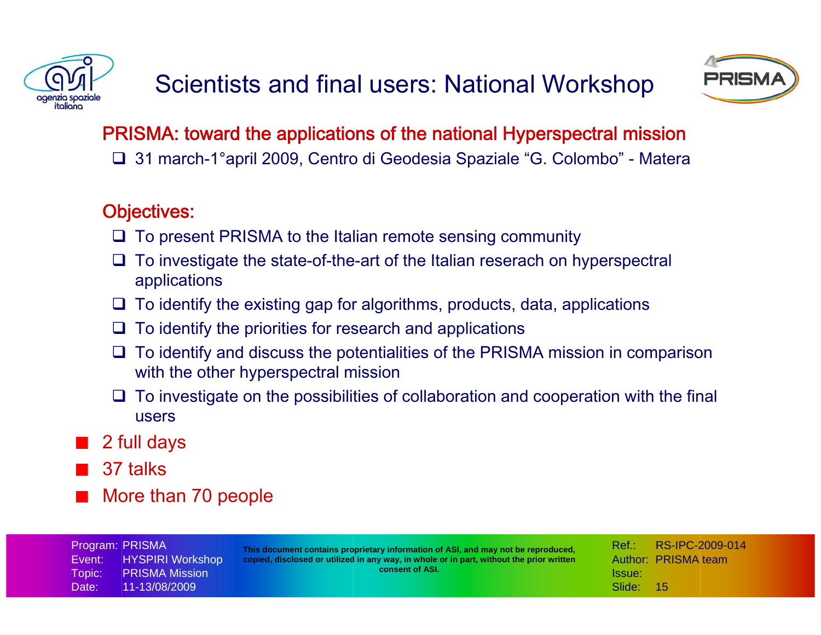



### PRISMA: toward the applications of the national Hyperspectral mission

31 march-1°april 2009, Centro di Geodesia Spaziale "G. Colombo" - Matera

### Objectives:

- $\Box$  To present PRISMA to the Italian remote sensing community
- $\Box$  To investigate the state-of-the-art of the Italian reserach on hyperspectral applications
- $\Box$  To identify the existing gap for algorithms, products, data, applications
- $\Box$  To identify the priorities for research and applications
- $\Box$  To identify and discuss the potentialities of the PRISMA mission in comparison with the other hyperspectral mission
- $\Box$  To investigate on the possibilities of collaboration and cooperation with the final users
- 2 full days
- 37 talks
- More than 70 people

Program: PRISMA Event: HYSPIRI Workshop Topic: PRISMA Mission Date: 11-13/08/2009

**This document contains proprietary information of ASI, and may not be reproduced, copied, disclosed or utilized in any way, in whole or in part, without the prior written consent of ASI.**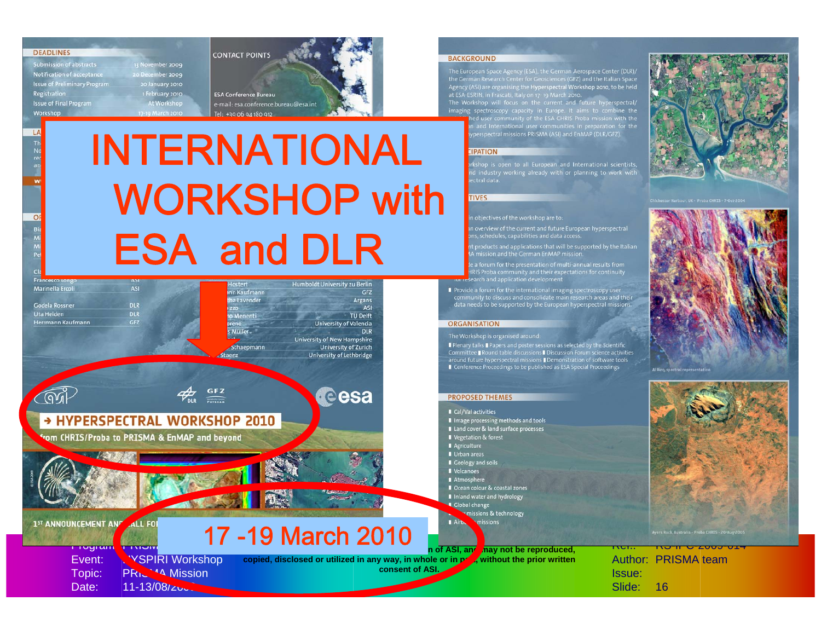#### **DEADLINES**

LA

 $\overline{O}$ 

**Submission of abstracts** 13 November 2009 Notification of acceptance 20 December 2009 **Issue of Preliminary Program** 20 January 2010 Registration **Issue of Final Program** Workshop

1 February 2010

**At Workshop** 

#### **CONTACT POINTS**

Tel: +39 06 94 180 912

**ESA Conference Bureau** e-mail: esa.conference.bureau@esa.int

# INTERNATIONAL WORKSHOP with ESA and DLR



Date: 11-13/08/2009

#### **BACKGROUND**

The European Space Agency (ESA), the German Aerospace Center (DLR)/<br>the German Research Center for Geosciences (GFZ) and the Italian Space<br>Agency (ASI) are organising the Hyperspectral Workshop 2010, to be held at ESA-ESRIN, in Frascati, Italy on 17-19 March 2010.

The Workshop will focus on the current and future hyperspectral/ imaging spectroscopy capacity in Europe. It aims to combine the community of the ESA CHRIS Proba mission with the and International user communities in preparation for the erspectral missions PRISMA (ASI) and EnMAP (DLR/GFZ).

#### **IPATION**

shop is open to all European and International scientists industry working already with or planning to work with .<br>ctral data

#### **TIVES**

objectives of the workshop are to:

s, schedules, capabilities and data access.

products and applications that will be supported by the Italian<br>mission and the German EnMAP mission.

ie a forum for the presentation of multi-annual results from<br>HRIS Proba community and their expectations for continuity<br>search and application development

Provide a forum for the international imaging spectroscopy user community to discuss and consolidate main research areas and their data needs to be supported by the European hyperspectral missions.

#### **ORGANISATION**

The Workshop is organised around:

Plenary talks Papers and poster sessions as selected by the Scientific Committee Round table discussions Discussion Forum science activities around future hyperspectral missions Demonstration of software tools Conference Proceedings to be published as ESA Special Proceedings

#### **PROPOSED THEMES**

Cal/Val activities I Image processing methods and tools Land cover & land surface processes Vegetation & forest Agriculture Urban areas Geology and soils Volcanoes Atmosphere Ocean colour & coastal zones I Inland water and hydrology Clobal change missions & technology missions

**This document contains in or ASI, and may not be reproduced,** 









rs Rock, Australia - Proba CHRIS - 20 Aug 20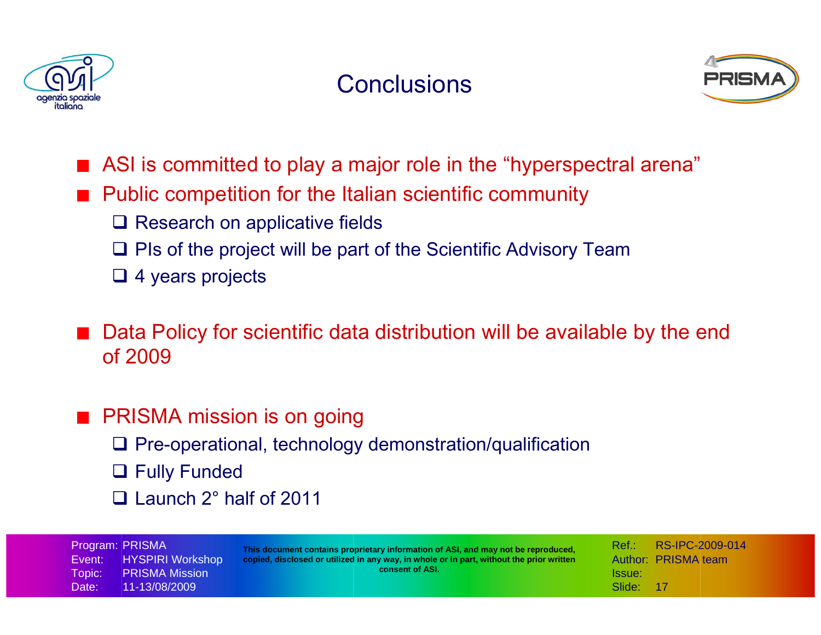

**Conclusions** 



ASI is committed to play a major role in the "hyperspectral arena"

- Public competition for the Italian scientific community
	- $\square$  Research on applicative fields
	- $\square$  PIs of the project will be part of the Scientific Advisory Team
	- □ 4 years projects
- Data Policy for scientific data distribution will be available by the end of 2009
- PRISMA mission is on going
	- $\square$  Pre-operational, technology demonstration/qualification
	- Fully Funded
	- Launch 2° half of 2011

Program: PRISMA Event: HYSPIRI Workshop Topic: PRISMA Mission Date: 11-13/08/2009

**This document contains proprietary information of ASI, and may not be reproduced, copied, disclosed or utilized in any way, in whole or in part, without the prior written consent of ASI.**